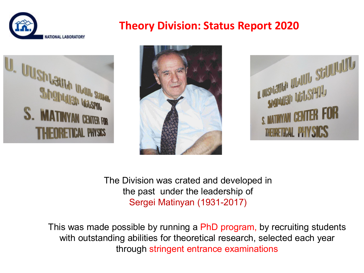

## **Theory Division: Status Report 2020**







The Division was crated and developed in the past under the leadership of Sergei Matinyan (1931-2017)

This was made possible by running a PhD program, by recruiting students with outstanding abilities for theoretical research, selected each year through stringent entrance examinations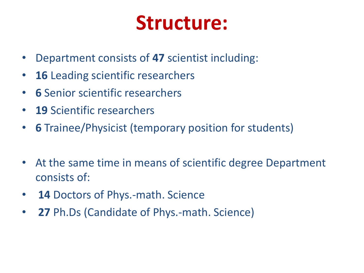## **Structure:**

- Department consists of **47** scientist including:
- **16** Leading scientific researchers
- **6** Senior scientific researchers
- **19** Scientific researchers
- **6** Trainee/Physicist (temporary position for students)
- At the same time in means of scientific degree Department consists of:
- **14** Doctors of Phys.-math. Science
- **27** Ph.Ds (Candidate of Phys.-math. Science)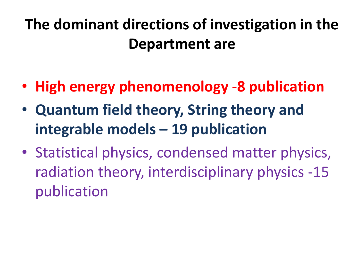## **The dominant directions of investigation in the Department are**

- **High energy phenomenology -8 publication**
- **Quantum field theory, String theory and integrable models – 19 publication**
- Statistical physics, condensed matter physics, radiation theory, interdisciplinary physics -15 publication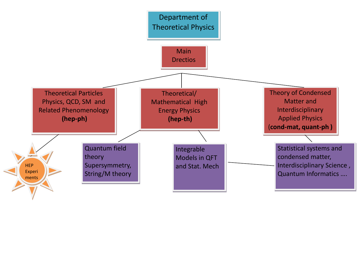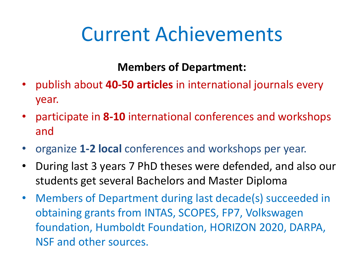# Current Achievements

**Members of Department:** 

- publish about **40-50 articles** in international journals every year.
- participate in **8-10** international conferences and workshops and
- organize **1-2 local** conferences and workshops per year.
- During last 3 years 7 PhD theses were defended, and also our students get several Bachelors and Master Diploma
- Members of Department during last decade(s) succeeded in obtaining grants from INTAS, SCOPES, FP7, Volkswagen foundation, Humboldt Foundation, HORIZON 2020, DARPA, NSF and other sources.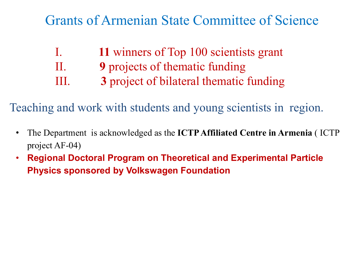## Grants of Armenian State Committee of Science

| $\prod$ | 11 winners of Top 100 scientists grant  |
|---------|-----------------------------------------|
| П.      | <b>9</b> projects of thematic funding   |
| III.    | 3 project of bilateral thematic funding |

Teaching and work with students and young scientists in region.

- The Department is acknowledged as the **ICTP Affiliated Centre in Armenia** ( ICTP project AF-04)
- **Regional Doctoral Program on Theoretical and Experimental Particle Physics sponsored by Volkswagen Foundation**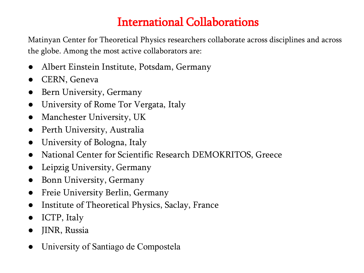## International Collaborations

Matinyan Center for Theoretical Physics researchers collaborate across disciplines and across the globe. Among the most active collaborators are:

- Albert Einstein Institute, Potsdam, Germany
- CERN, Geneva
- Bern University, Germany
- University of Rome Tor Vergata, Italy
- Manchester University, UK
- Perth University, Australia
- University of Bologna, Italy
- National Center for Scientific Research DEMOKRITOS, Greece
- Leipzig University, Germany
- Bonn University, Germany
- Freie University Berlin, Germany
- Institute of Theoretical Physics, Saclay, France
- ICTP, Italy
- JINR, Russia
- University of Santiago de Compostela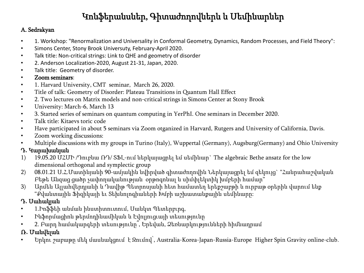### Կոնֆերանսներ, Գիտաժողովներև և Սեմինարներ

#### A. Sedrakyan

- 1. Workshop: "Renormalization and Universality in Conformal Geometry, Dynamics, Random Processes, and Field Theory":
- Simons Center, Stony Brook Universuty, February-April 2020.
- Talk title: Non-critical strings: Link to QHE and geometry of disorder
- 2. Anderson Localization-2020, August 21-31, Japan, 2020.
- Talk title: Geometry of disorder.
- Zoom seminars:
- 1. Harvard University, CMT seminar, March 26, 2020.
- Title of talk: Geometry of Disorder: Plateau Transitions in Quantum Hall Effect
- 2. Two lectures on Matrix models and non-critical strings in Simons Center at Stony Brook
- University: March-6, March 13
- 3. Started series of seminars on quantum computing in YerPhI. One seminars in December 2020.
- Talk title: Kitaevs toric code
- Have participated in about 5 seminars via Zoom otganized in Harvard, Rutgers and University of California, Davis.
- Zoom working discussions:
- Multiple discussions with my groups in Turino (Italy), Wuppertal (Germany), Augsburg(Germany) and Ohio University

#### Դ**․** Կարախանյան

- 1) 19.05.20 ՄՀՄԻ /Դուբնա ՌԴ/ ՏՖԼ-ում ներկայացրել եմ սեմինար` The algebraic Bethe ansatz for the low dimensional orthogonal and symplectic group
- 2) 08.01.21 Ս.Հ.Մատինյանի 90-ամյակին նվիրված գիտաժողովին Ներկայացրել եմ զեկույց` "Հանրահաշվական Բեթե Անզաց ցածր չափողականության օրթոգոնալ և սիմփլեկտիկ խմբերի համար"
- 3) Արմեն Ալլահվերդյանի և Դավիթ Պետրոսյանի հետ համատեղ երեքշաբթի և ուրբաթ օրերին վարում ենք "Քվանտային Ֆիզիկայի եւ Տեխնոլոգիաների Խմբի աշխատանքային սեմինարը:

#### Դ**․** Սահակյան

- 1.Իոֆֆեի անման ինստիտուտում, Սանկտ Պետերբւրգ,
- Ինֆորմացիոն թերմոդինամիկան և Էվոլյուցւայի տեսությունը
- 2. Բարդ համակարգերի տեսությունը՞, Երեվան, Ձեռնարկությունների հիմնադրամ

#### Ռ**․** Մանվելան

• Երկու շաբաթը մեկ մասնակցում է Զումով՝, Australia-Korea-Japan-Russia-Europe Higher Spin Gravity online-club․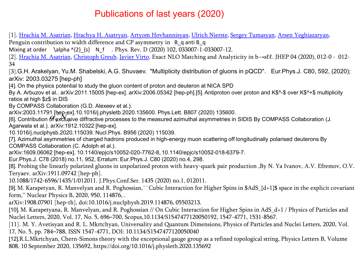#### Publications of last years (2020)

[1]. Hrachia [M. Asatrian,](https://arxiv.org/search/hep-ph?searchtype=author&query=Asatrian%2C+H+M) [Hrachya H. Asatryan,](https://arxiv.org/search/hep-ph?searchtype=author&query=Asatryan%2C+H+H) [Artyom Hovhannisyan](https://arxiv.org/search/hep-ph?searchtype=author&query=Hovhannisyan%2C+A), [Ulrich Nierste](https://arxiv.org/search/hep-ph?searchtype=author&query=Nierste%2C+U), [Sergey Tumasyan,](https://arxiv.org/search/hep-ph?searchtype=author&query=Tumasyan%2C+S) [Arsen Yeghiazaryan.](https://arxiv.org/search/hep-ph?searchtype=author&query=Yeghiazaryan%2C+A)

Penguin contribution to width difference and CP asymmetry in B q anti B q

Mixing at order \alpha ^{2} {s} N\_f . Phys. Rev. D (2020) 102, 033007-1-033007-12.

[2]. Hrachia [M. Asatrian,](https://arxiv.org/search/hep-ph?searchtype=author&query=Asatrian%2C+H+M) [Christoph Greub](https://arxiv.org/search/hep-ph?searchtype=author&query=Greub%2C+C), [Javier Virto.](https://arxiv.org/search/hep-ph?searchtype=author&query=Virto%2C+J) Exact NLO Matching and Analyticity in b→sℓℓ. JHEP 04 (2020), 012-0 - 012- 34

[3].G.H. Arakelyan, Yu.M. Shabelski, A.G. Shuvaev. "Multiplicity distribution of gluons in pQCD". Eur.Phys.J. C80, 592, (2020); arXiv: 2003.03275 [hep-ph]

[4]. On the physics potential to study the gluon content of proton and deuteron at NICA SPD

By A. Arbuzov et al.. arXiv:2011.15005 [hep-ex]. arXiv:2006.05342 [hep-ph].[5]․ Antiproton over proton and K\$^-\$ over K\$^+\$ multiplicity ratios at high \$z\$ in DIS

By COMPASS Collaboration (G.D. Alexeev et al.).

arXiv:2003.11791 [hep-ex].10.1016/j.physletb.2020.135600. Phys.Lett. B807 (2020) 135600.<br><sup>Del</sup>. Centribution *More*Waive diffrective presesses to the massured ezimuthel sexmmetries in

arxiv:2003.11791 [ဨႍႍႜဨ-ex].10.1016/].physietb.2020.135600. Phys.Lett. B807 (2020) 135600.<br>[6]. Contribution **of exclusive diffractive processes to the measured azimuthal asymmetries in SIDIS By COMPASS Collaboration (J.** Agarwala et al.). arXiv:1912.10322 [hep-ex].

10.1016/j.nuclphysb.2020.115039. Nucl.Phys. B956 (2020) 115039.

[7]. Azimuthal asymmetries of charged hadrons produced in high-energy muon scattering off longitudinally polarised deuterons By COMPASS Collaboration (C. Adolph et al.).

arXiv:1609.06062 [hep-ex]. 10.1140/epjc/s10052-020-7762-8, 10.1140/epjc/s10052-018-6379-7.

Eur.Phys.J. C78 (2018) no.11, 952, Erratum: Eur.Phys.J. C80 (2020) no.4, 298.

[8]․ Probing the linearly polarized gluons in unpolarized proton with heavy-quark pair production ,By N. Ya Ivanov, A.V. Efremov, O.V. Teryaev. arXiv:1911.09742 [hep-ph].

10.1088/1742-6596/1435/1/012011. J.Phys.Conf.Ser. 1435 (2020) no.1, 012011.

[9]․ M. Karapetyan, R. Manvelyan and R. Poghossian,``Cubic Interaction for Higher Spins in \$AdS\_{d+1}\$ space in the explicit covariant form,'' Nuclear Physics B, 2020, 950, 114876, .

arXiv:1908.07901 [hep-th], doi:10.1016/j.nuclphysb.2019.114876, 05503213.

[10]. M. Karapetyana, R. Manvelyan, and R. Poghossian // On Cubic Interaction for Higher Spins in AdS d+1 / Physics of Particles and Nuclei Letters, 2020, Vol. 17, No. 5, 696–700, Scopus,10.1134/S1547477120050192, 1547-4771, 1531-8567.

[11], M. Y. Avetisyan and R. L. Mkrtchyan, Universality and Quantum Dimensions, Physics of Particles and Nuclei Letters, 2020, Vol. 17, No. 5, pp. 784–788, ISSN 1547-4771, DOI: 10.1134/S1547477120050040

[12]․R.L.Mkrtchyan, Chern-Simons theory with the exceptional gauge group as a refined topological string, Physics Letters B, Volume 808, 10 September 2020, 135692, https://doi.org/10.1016/j.physletb.2020.135692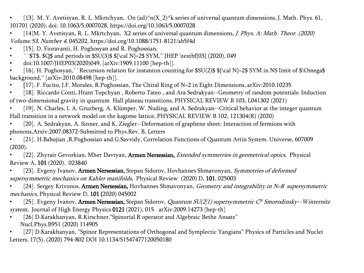- [13], M. Y. Avetisyan, R. L. Mkrtchyan, On (ad)^n(X 2)^k series of universal quantum dimensions, J. Math. Phys. 61, 101701 (2020); doi: 10.1063/5.0007028, https://doi.org/10.1063/5.0007028
- [14]M. Y. Avetisyan, R. L. Mkrtchyan, X2 series of universal quantum dimensions, J. Phys. A: Math. Theor. (2020) Volume 53, Number 4, 045202, https://doi.org/10.1088/1751-8121/ab5f4d
- [15]. D. Fioravanti, H. Poghosyan and R. Poghossian,
- ``\$T\$, \$Q\$ and periods in \$SU(3)\$  $\{\cal Q} = 2\$  SYM," [HEP \textbf{03} (2020), 049
- doi:10.1007/JHEP03(2020)049, [arXiv:1909.11100 [hep-th]].
- [16]. H. Poghosyan,``Recursion relation for instanton counting for \$SU(2)\$ \${\cal N}=2\$ SYM in NS limit of \$\Omega\$ background,'' [arXiv:2010.08498 [hep-th]].
- [17]. F. Fucito, J.F. Morales, R.Poghossian, The Chiral Ring of N=2 in Eight Dimensions, arXiv:2010.10235
- [18]. Riccardo Conti, Hrant Topchyan, Roberto Tateo, and Ara Sedrakyan--Geometry of random potentials: Induction of two-dimensional gravity in quantum Hall plateau transitions, PHYSICAL REVIEW B 103, L041302 (2021)
- [19]. N. Charles, I. A. Gruzberg, A. Klümper, W. Nuding, and A. Sedrakyan--Critical behavior at the integer quantum Hall transition in a network model on the kagome lattice, PHYSICAL REVIEW B 102, 121304(R) (2020)
- [20]. A. Sedrakyan, A. Sinner, and K. Ziegler--Deformation of graphene sheet: Interaction of fermions with phonons,Arxiv:2007.08372-Submitted to Phys.Rev. B, Letters
- [21]․ H.Babujian ,R.Poghossian and G.Savvidy, Correlation Functions of Quantum Artin System. Universe, 607009  $(2020)$ .
- [22]. Zhyrair Gevorkian, Mher Davtyan, Armen Nersessian, *Extended symmetries in geometrical optics*, Physical Review A, 101 (2020), 023840
- [23]. Evgeny Ivanov, Armen Nersessian, Stepan Sidorov, Hovhannes Shmavonyan, Symmetries of deformed supersymmetric mechanics on Kahler manifolds, Physical Review (2020) D, 101, 025003
- [24]. Sergey Krivonos, Armen Nersessian, Hovhannes Shmavonyan, Geometry and integrability in N=8 supersymmetric mechanics, Physical Review D, 101 (2020) 045002
- [25]. Evgeny Ivanov, Armen Nersessian, Stepan Sidorov, *Quantum SU(2/1) supersymmetric C<sup>N</sup> Smorodinsky--Winternitz* system, Journal of High Energy Physics 0121 (2021), 015 arXiv:2009.14273 [hep-th]
- [26] D.Karakhanyan, R.Kirschner, "Spinorial R operator and Algebraic Bethe Ansatz" Nucl.Phys.B951 (2020) 114905
- [27] D.Karakhanyan, "Spinor Representations of Orthogonal and Symplectic Yangians" Physics of Particles and Nuclei Letters, 17(5), (2020) 794-802 DOI 10.1134/S1547477120050180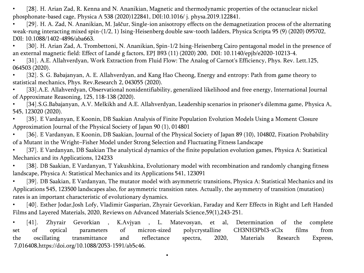[28]. H. Arian Zad, R. Kenna and N. Ananikian, Magnetic and thermodynamic properties of the octanuclear nickel phosphonate-based cage, Physica A 538 (2020)122841, D0I:10.1016/ j. physa.2019.122841.

[29]. H. A. Zad, N. Ananikian, M. Jaščur, Single-ion anisotropy effects on the demagnetization process of the alternating weak-rung interacting mixed spin-(1/2, 1) Ising-Heisenberg double saw-tooth ladders, Physica Scripta 95 (9) (2020) 095702, D0I: 10.1088/1402-4896/aba663.

[30], H. Arian Zad, A. Trombettoni, N. Ananikian, Spin-1/2 Ising-Heisenberg Cairo pentagonal model in the presence of an external magnetic field: Effect of Landé g factors, EPJ B93 (11) (2020) 200, D0I: 10.1140/epjb/e2020-10213-4.

[31]. A.E. Allahverdyan, Work Extraction from Fluid Flow: The Analog of Carnot's Efficiency, Phys. Rev. Lett.125, 064503 (2020).

• [32]․ S. G. Babajanyan, A. E. Allahverdyan, and Kang Hao Cheong, Energy and entropy: Path from game theory to statistical mechanics, Phys. Rev.Research 2, 043055 (2020).

[33].A.E. Allahverdyan, Observational nonidentifiability, generalized likelihood and free energy, International Journal of Approximate Reasoning, 125, 118-138 (2020).

• [34]․S.G.Babajanyan, A.V. Melkikh and A.E. Allahverdyan, Leadership scenarios in prisoner's dilemma game, Physica A, 545, 123020 (2020).

[35]. E Vardanyan, E Koonin, DB Saakian Analysis of Finite Population Evolution Models Using a Moment Closure Approximation Journal of the Physical Society of Japan 90 (1), 014801

[36]. E Vardanyan, E Koonin, DB Saakian, Journal of the Physical Society of Japan 89 (10), 104802, Fixation Probability of a Mutant in the Wright–Fisher Model under Strong Selection and Fluctuating Fitness Landscape

[37]. E Vardanyan, DB Saakian The analytical dynamics of the finite population evolution games, Physica A: Statistical Mechanics and its Applications, 124233

[38]. DB Saakian, E Vardanyan, T Yakushkina, Evolutionary model with recombination and randomly changing fitness landscape, Physica A: Statistical Mechanics and its Applications 541, 123091

[39]. DB Saakian, E Vardanyan, The mutator model with asymmetric transitions, Physica A: Statistical Mechanics and its Applications 545, 123500 landscapes also, for asymmetric transition rates. Actually, the asymmetry of transition (mutation) rates is an important characteristic of evolutionary dynamics.

[40]. Esther Jodar,Josh Lofy, Vladimir Gasparian, Zhyrair Gevorkian, Faraday and Kerr Effects in Right and Left Handed Films and Layered Materials, 2020, Reviews on Advanced Materials Science,59(1),243-251.

• [41]. Zhyrair Gevorkian , K.Avjyan , L. Matevosyan, et al, Determination of the complete set of optical parameters of micron-sized polycrystalline CH3NH3PbI3-xClx films from the oscillating transmittance and reflectance spectra, 2020, Materials Research Express, 7,016408,https://doi.org/10.1088/2053-1591/ab5c46.

•